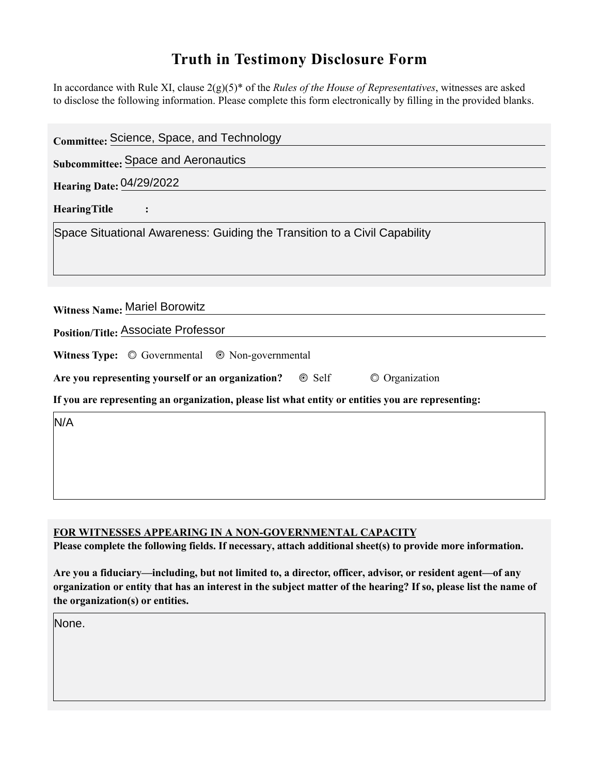## **Truth in Testimony Disclosure Form**

In accordance with Rule XI, clause 2(g)(5)\* of the *Rules of the House of Representatives*, witnesses are asked to disclose the following information. Please complete this form electronically by filling in the provided blanks.

| Committee: Science, Space, and Technology                                                          |  |  |  |
|----------------------------------------------------------------------------------------------------|--|--|--|
| <b>Subcommittee: Space and Aeronautics</b>                                                         |  |  |  |
| <b>Hearing Date: 04/29/2022</b>                                                                    |  |  |  |
| <b>HearingTitle</b>                                                                                |  |  |  |
| Space Situational Awareness: Guiding the Transition to a Civil Capability                          |  |  |  |
|                                                                                                    |  |  |  |
|                                                                                                    |  |  |  |
| Witness Name: Mariel Borowitz                                                                      |  |  |  |
| Position/Title: Associate Professor                                                                |  |  |  |
| Witness Type: $\circledcirc$ Governmental $\circledcirc$ Non-governmental                          |  |  |  |
| Are you representing yourself or an organization? © Self<br>© Organization                         |  |  |  |
| If you are representing an organization, please list what entity or entities you are representing: |  |  |  |
| N/A                                                                                                |  |  |  |
|                                                                                                    |  |  |  |
|                                                                                                    |  |  |  |
|                                                                                                    |  |  |  |

## **FOR WITNESSES APPEARING IN A NON-GOVERNMENTAL CAPACITY**

Please complete the following fields. If necessary, attach additional sheet(s) to provide more information.

Are you a fiduciary—including, but not limited to, a director, officer, advisor, or resident agent—of any **organization or entity that has an interest in the subject matter of the hearing? If so, please list the name of the organization(s) or entities.**

None.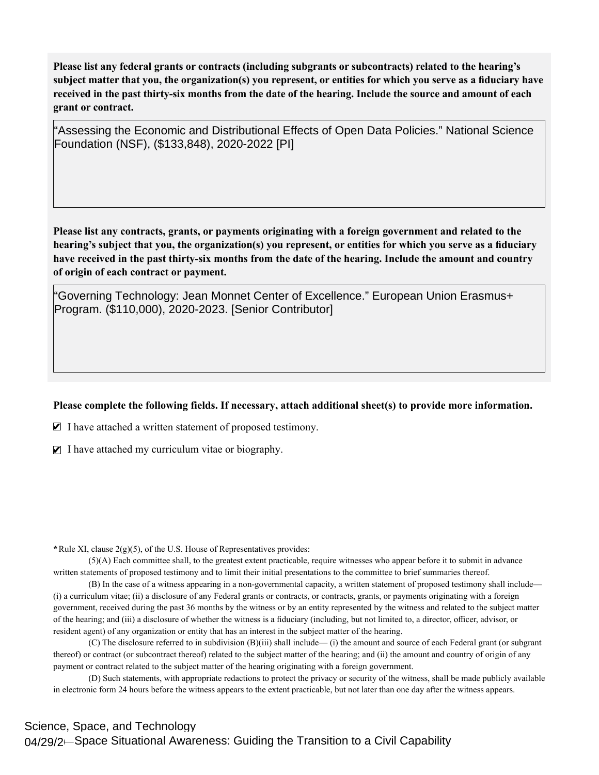Please list any federal grants or contracts (including subgrants or subcontracts) related to the hearing's subject matter that you, the organization(s) you represent, or entities for which you serve as a fiduciary have received in the past thirty-six months from the date of the hearing. Include the source and amount of each **grant or contract.** 

"Assessing the Economic and Distributional Effects of Open Data Policies." National Science Foundation (NSF), (\$133,848), 2020-2022 [PI]

Please list any contracts, grants, or payments originating with a foreign government and related to the hearing's subject that you, the organization(s) you represent, or entities for which you serve as a fiduciary have received in the past thirty-six months from the date of the hearing. Include the amount and country **of origin of each contract or payment.** 

"Governing Technology: Jean Monnet Center of Excellence." European Union Erasmus+ Program. (\$110,000), 2020-2023. [Senior Contributor]

## Please complete the following fields. If necessary, attach additional sheet(s) to provide more information.

 $\blacksquare$  I have attached a written statement of proposed testimony.

 $\blacksquare$  I have attached my curriculum vitae or biography.

**\***Rule XI, clause 2(g)(5), of the U.S. House of Representatives provides:

(5)(A) Each committee shall, to the greatest extent practicable, require witnesses who appear before it to submit in advance written statements of proposed testimony and to limit their initial presentations to the committee to brief summaries thereof.

(B) In the case of a witness appearing in a non-governmental capacity, a written statement of proposed testimony shall include— (i) a curriculum vitae; (ii) a disclosure of any Federal grants or contracts, or contracts, grants, or payments originating with a foreign government, received during the past 36 months by the witness or by an entity represented by the witness and related to the subject matter of the hearing; and (iii) a disclosure of whether the witness is a fiduciary (including, but not limited to, a director, officer, advisor, or resident agent) of any organization or entity that has an interest in the subject matter of the hearing.

(C) The disclosure referred to in subdivision (B)(iii) shall include— (i) the amount and source of each Federal grant (or subgrant thereof) or contract (or subcontract thereof) related to the subject matter of the hearing; and (ii) the amount and country of origin of any payment or contract related to the subject matter of the hearing originating with a foreign government.

(D) Such statements, with appropriate redactions to protect the privacy or security of the witness, shall be made publicly available in electronic form 24 hours before the witness appears to the extent practicable, but not later than one day after the witness appears.